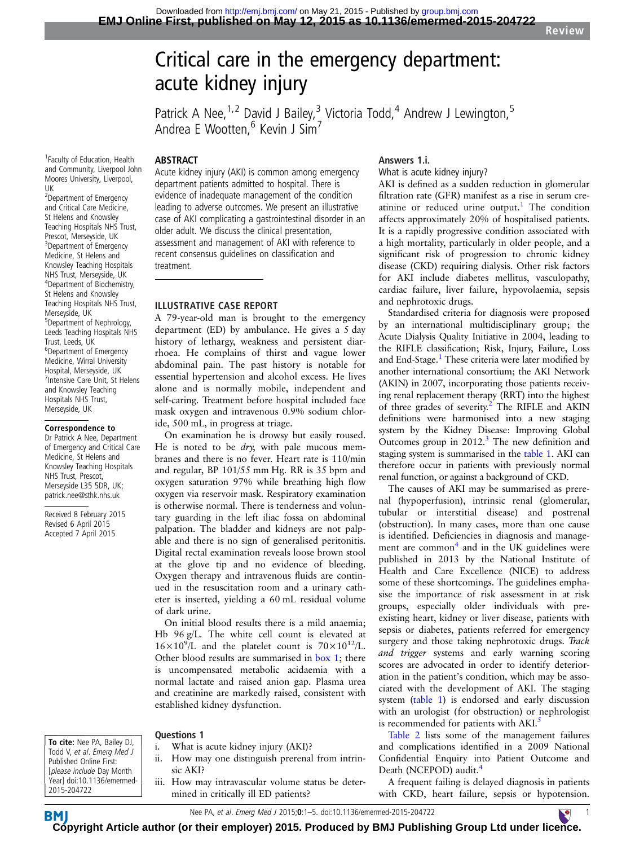# Critical care in the emergency department: acute kidney injury

Patrick A Nee,  $1.2$  David J Bailey, 3 Victoria Todd, 4 Andrew J Lewington, 5 Andrea E Wootten,<sup>6</sup> Kevin J Sim<sup>7</sup>

1 Faculty of Education, Health and Community, Liverpool John Moores University, Liverpool, UK

<sup>2</sup>Department of Emergency and Critical Care Medicine, St Helens and Knowsley Teaching Hospitals NHS Trust, Prescot, Merseyside, UK <sup>3</sup>Department of Emergency Medicine, St Helens and Knowsley Teaching Hospitals NHS Trust, Merseyside, UK 4 Department of Biochemistry, St Helens and Knowsley Teaching Hospitals NHS Trust, Merseyside, UK 5 Department of Nephrology, Leeds Teaching Hospitals NHS Trust, Leeds, UK 6 Department of Emergency Medicine, Wirral University Hospital, Merseyside, UK 7 Intensive Care Unit, St Helens and Knowsley Teaching Hospitals NHS Trust, Merseyside, UK

#### Correspondence to

Dr Patrick A Nee, Department of Emergency and Critical Care Medicine, St Helens and Knowsley Teaching Hospitals NHS Trust, Prescot, Merseyside L35 5DR, UK; patrick.nee@sthk.nhs.uk

Received 8 February 2015 Revised 6 April 2015 Accepted 7 April 2015

## ABSTRACT

Acute kidney injury (AKI) is common among emergency department patients admitted to hospital. There is evidence of inadequate management of the condition leading to adverse outcomes. We present an illustrative case of AKI complicating a gastrointestinal disorder in an older adult. We discuss the clinical presentation, assessment and management of AKI with reference to recent consensus guidelines on classification and treatment.

## ILLUSTRATIVE CASE REPORT

A 79-year-old man is brought to the emergency department (ED) by ambulance. He gives a 5 day history of lethargy, weakness and persistent diarrhoea. He complains of thirst and vague lower abdominal pain. The past history is notable for essential hypertension and alcohol excess. He lives alone and is normally mobile, independent and self-caring. Treatment before hospital included face mask oxygen and intravenous 0.9% sodium chloride, 500 mL, in progress at triage.

On examination he is drowsy but easily roused. He is noted to be  $\frac{dy}{dx}$ , with pale mucous membranes and there is no fever. Heart rate is 110/min and regular, BP 101/55 mm Hg. RR is 35 bpm and oxygen saturation 97% while breathing high flow oxygen via reservoir mask. Respiratory examination is otherwise normal. There is tenderness and voluntary guarding in the left iliac fossa on abdominal palpation. The bladder and kidneys are not palpable and there is no sign of generalised peritonitis. Digital rectal examination reveals loose brown stool at the glove tip and no evidence of bleeding. Oxygen therapy and intravenous fluids are continued in the resuscitation room and a urinary catheter is inserted, yielding a 60 mL residual volume of dark urine.

On initial blood results there is a mild anaemia; Hb 96 g/L. The white cell count is elevated at  $16 \times 10^{9}$ /L and the platelet count is  $70 \times 10^{12}$ /L. Other blood results are summarised in [box 1](#page-1-0); there is uncompensated metabolic acidaemia with a normal lactate and raised anion gap. Plasma urea and creatinine are markedly raised, consistent with established kidney dysfunction.

Questions 1

- i. What is acute kidney injury (AKI)?
- ii. How may one distinguish prerenal from intrinsic AKI?
- iii. How may intravascular volume status be determined in critically ill ED patients?

## Answers 1.i.

What is acute kidney injury?

AKI is defined as a sudden reduction in glomerular filtration rate (GFR) manifest as a rise in serum cre-atinine or reduced urine output.<sup>[1](#page-4-0)</sup> The condition affects approximately 20% of hospitalised patients. It is a rapidly progressive condition associated with a high mortality, particularly in older people, and a significant risk of progression to chronic kidney disease (CKD) requiring dialysis. Other risk factors for AKI include diabetes mellitus, vasculopathy, cardiac failure, liver failure, hypovolaemia, sepsis and nephrotoxic drugs.

Standardised criteria for diagnosis were proposed by an international multidisciplinary group; the Acute Dialysis Quality Initiative in 2004, leading to the RIFLE classification; Risk, Injury, Failure, Loss and End-Stage.<sup>1</sup> These criteria were later modified by another international consortium; the AKI Network (AKIN) in 2007, incorporating those patients receiving renal replacement therapy (RRT) into the highest of three grades of severity.<sup>2</sup> The RIFLE and AKIN definitions were harmonised into a new staging system by the Kidney Disease: Improving Global Outcomes group in  $2012<sup>3</sup>$ . The new definition and staging system is summarised in the [table 1](#page-1-0). AKI can therefore occur in patients with previously normal renal function, or against a background of CKD.

The causes of AKI may be summarised as prerenal (hypoperfusion), intrinsic renal (glomerular, tubular or interstitial disease) and postrenal (obstruction). In many cases, more than one cause is identified. Deficiencies in diagnosis and manage-ment are common<sup>[4](#page-4-0)</sup> and in the UK guidelines were published in 2013 by the National Institute of Health and Care Excellence (NICE) to address some of these shortcomings. The guidelines emphasise the importance of risk assessment in at risk groups, especially older individuals with preexisting heart, kidney or liver disease, patients with sepsis or diabetes, patients referred for emergency surgery and those taking nephrotoxic drugs. Track and trigger systems and early warning scoring scores are advocated in order to identify deterioration in the patient's condition, which may be associated with the development of AKI. The staging system ([table 1\)](#page-1-0) is endorsed and early discussion with an urologist (for obstruction) or nephrologist is recommended for patients with AKI.<sup>5</sup>

[Table 2](#page-1-0) lists some of the management failures and complications identified in a 2009 National Confidential Enquiry into Patient Outcome and Death (NCEPOD) audit.<sup>4</sup>

A frequent failing is delayed diagnosis in patients with CKD, heart failure, sepsis or hypotension.



**BM** 

Nee PA, *et al. Emerg Med J* 2015**:0**:1–5. doi:10.1136/emermed-2015-204722 1

**[Cop](http://emj.bmj.com)yright Article author (or their employer) 2015. Produced by BMJ Publishing Group Ltd under lic[enc](http://www.collemergencymed.ac.uk/)e.**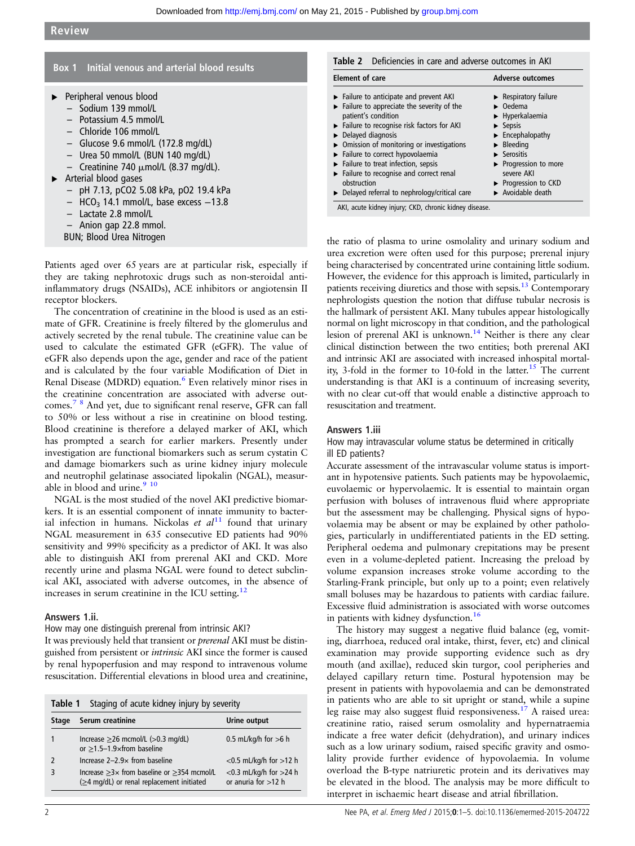## <span id="page-1-0"></span>Box 1 Initial venous and arterial blood results

- ▸ Peripheral venous blood
	- Sodium 139 mmol/L
	- Potassium 4.5 mmol/L
	- Chloride 106 mmol/L
	- Glucose 9.6 mmol/L (172.8 mg/dL)
	- Urea 50 mmol/L (BUN 140 mg/dL)
	- Creatinine 740  $\mu$ mol/L (8.37 mg/dL).
- ▸ Arterial blood gases
	- pH 7.13, pCO2 5.08 kPa, pO2 19.4 kPa
	- $HCO<sub>3</sub>$  14.1 mmol/L, base excess  $-13.8$
	- Lactate 2.8 mmol/L
	- Anion gap 22.8 mmol.
	- BUN; Blood Urea Nitrogen

Patients aged over 65 years are at particular risk, especially if they are taking nephrotoxic drugs such as non-steroidal antiinflammatory drugs (NSAIDs), ACE inhibitors or angiotensin II receptor blockers.

The concentration of creatinine in the blood is used as an estimate of GFR. Creatinine is freely filtered by the glomerulus and actively secreted by the renal tubule. The creatinine value can be used to calculate the estimated GFR (eGFR). The value of eGFR also depends upon the age, gender and race of the patient and is calculated by the four variable Modification of Diet in Renal Disease (MDRD) equation. $6$  Even relatively minor rises in the creatinine concentration are associated with adverse outcomes.[7 8](#page-4-0) And yet, due to significant renal reserve, GFR can fall to 50% or less without a rise in creatinine on blood testing. Blood creatinine is therefore a delayed marker of AKI, which has prompted a search for earlier markers. Presently under investigation are functional biomarkers such as serum cystatin C and damage biomarkers such as urine kidney injury molecule and neutrophil gelatinase associated lipokalin (NGAL), measurable in blood and urine.<sup>9</sup> <sup>10</sup>

NGAL is the most studied of the novel AKI predictive biomarkers. It is an essential component of innate immunity to bacterial infection in humans. Nickolas et  $al<sup>11</sup>$  $al<sup>11</sup>$  $al<sup>11</sup>$  found that urinary NGAL measurement in 635 consecutive ED patients had 90% sensitivity and 99% specificity as a predictor of AKI. It was also able to distinguish AKI from prerenal AKI and CKD. More recently urine and plasma NGAL were found to detect subclinical AKI, associated with adverse outcomes, in the absence of increases in serum creatinine in the ICU setting.<sup>1</sup>

#### Answers 1.ii.

How may one distinguish prerenal from intrinsic AKI?

It was previously held that transient or prerenal AKI must be distinguished from persistent or intrinsic AKI since the former is caused by renal hypoperfusion and may respond to intravenous volume resuscitation. Differential elevations in blood urea and creatinine,

| Staging of acute kidney injury by severity<br>Table 1 |                                                                                                                   |                                                       |  |  |  |
|-------------------------------------------------------|-------------------------------------------------------------------------------------------------------------------|-------------------------------------------------------|--|--|--|
| <b>Stage</b>                                          | Serum creatinine                                                                                                  | Urine output                                          |  |  |  |
|                                                       | Increase $\geq$ 26 mcmol/L ( $>$ 0.3 mg/dL)<br>or $\geq$ 1.5-1.9×from baseline                                    | 0.5 mL/kg/h for $>6$ h                                |  |  |  |
| 2                                                     | Increase $2-2.9x$ from baseline                                                                                   | $<$ 0.5 mL/kg/h for $>$ 12 h                          |  |  |  |
| 3                                                     | Increase $\geq$ 3x from baseline or $\geq$ 354 mcmol/L<br>$(\geq 4 \text{ mg/dL})$ or renal replacement initiated | $<$ 0.3 mL/kg/h for $>$ 24 h<br>or anuria for $>12$ h |  |  |  |

| <b>Element of care</b>                                          | Adverse outcomes                          |  |
|-----------------------------------------------------------------|-------------------------------------------|--|
| $\triangleright$ Failure to anticipate and prevent AKI          | $\blacktriangleright$ Respiratory failure |  |
| $\blacktriangleright$ Failure to appreciate the severity of the | $\triangleright$ Oedema                   |  |
| patient's condition                                             | $\blacktriangleright$ Hyperkalaemia       |  |
| Failure to recognise risk factors for AKI                       | $\blacktriangleright$ Sepsis              |  |
| $\triangleright$ Delayed diagnosis                              | $\blacktriangleright$ Encephalopathy      |  |
| $\triangleright$ Omission of monitoring or investigations       | $\blacktriangleright$ Bleeding            |  |
| Failure to correct hypovolaemia                                 | $\blacktriangleright$ Serositis           |  |
| $\blacktriangleright$ Failure to treat infection, sepsis        | ▶ Progression to more                     |  |
| Failure to recognise and correct renal                          | severe AKI                                |  |
| obstruction                                                     | $\blacktriangleright$ Progression to CKD  |  |
| $\triangleright$ Delayed referral to nephrology/critical care   | Avoidable death                           |  |

AKI, acute kidney injury; CKD, chronic kidney disease.

the ratio of plasma to urine osmolality and urinary sodium and urea excretion were often used for this purpose; prerenal injury being characterised by concentrated urine containing little sodium. However, the evidence for this approach is limited, particularly in patients receiving diuretics and those with sepsis.<sup>[13](#page-4-0)</sup> Contemporary nephrologists question the notion that diffuse tubular necrosis is the hallmark of persistent AKI. Many tubules appear histologically normal on light microscopy in that condition, and the pathological lesion of prerenal AKI is unknown.<sup>14</sup> Neither is there any clear clinical distinction between the two entities; both prerenal AKI and intrinsic AKI are associated with increased inhospital mortality, 3-fold in the former to 10-fold in the latter.<sup>15</sup> The current understanding is that AKI is a continuum of increasing severity, with no clear cut-off that would enable a distinctive approach to resuscitation and treatment.

#### Answers 1.iii

#### How may intravascular volume status be determined in critically ill ED patients?

Accurate assessment of the intravascular volume status is important in hypotensive patients. Such patients may be hypovolaemic, euvolaemic or hypervolaemic. It is essential to maintain organ perfusion with boluses of intravenous fluid where appropriate but the assessment may be challenging. Physical signs of hypovolaemia may be absent or may be explained by other pathologies, particularly in undifferentiated patients in the ED setting. Peripheral oedema and pulmonary crepitations may be present even in a volume-depleted patient. Increasing the preload by volume expansion increases stroke volume according to the Starling-Frank principle, but only up to a point; even relatively small boluses may be hazardous to patients with cardiac failure. Excessive fluid administration is associated with worse outcomes in patients with kidney dysfunction.<sup>[16](#page-4-0)</sup>

The history may suggest a negative fluid balance (eg, vomiting, diarrhoea, reduced oral intake, thirst, fever, etc) and clinical examination may provide supporting evidence such as dry mouth (and axillae), reduced skin turgor, cool peripheries and delayed capillary return time. Postural hypotension may be present in patients with hypovolaemia and can be demonstrated in patients who are able to sit upright or stand, while a supine leg raise may also suggest fluid responsiveness.[17](#page-4-0) A raised urea: creatinine ratio, raised serum osmolality and hypernatraemia indicate a free water deficit (dehydration), and urinary indices such as a low urinary sodium, raised specific gravity and osmolality provide further evidence of hypovolaemia. In volume overload the B-type natriuretic protein and its derivatives may be elevated in the blood. The analysis may be more difficult to interpret in ischaemic heart disease and atrial fibrillation.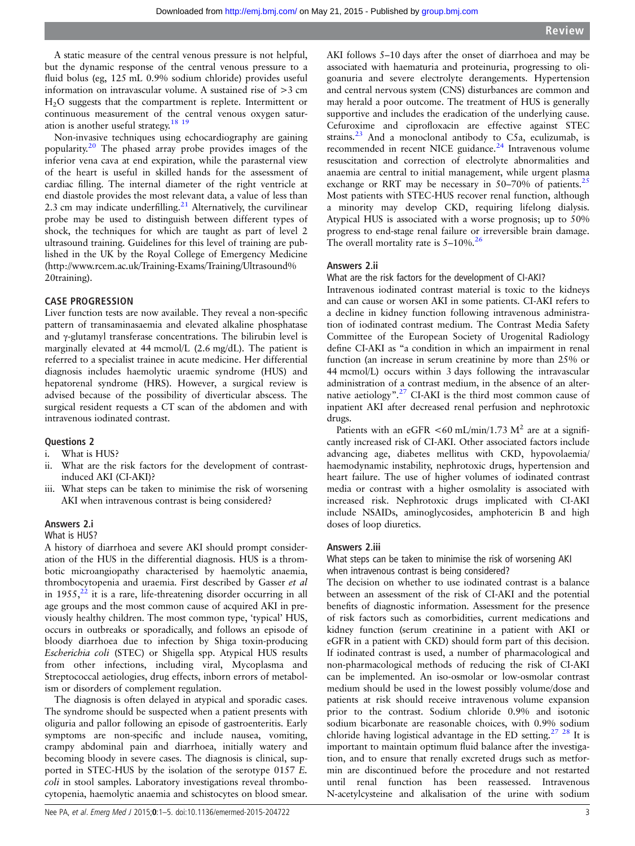A static measure of the central venous pressure is not helpful, but the dynamic response of the central venous pressure to a fluid bolus (eg, 125 mL 0.9% sodium chloride) provides useful information on intravascular volume. A sustained rise of >3 cm H2O suggests that the compartment is replete. Intermittent or continuous measurement of the central venous oxygen saturation is another useful strategy.[18 19](#page-4-0)

Non-invasive techniques using echocardiography are gaining popularity.[20](#page-4-0) The phased array probe provides images of the inferior vena cava at end expiration, while the parasternal view of the heart is useful in skilled hands for the assessment of cardiac filling. The internal diameter of the right ventricle at end diastole provides the most relevant data, a value of less than 2.3 cm may indicate underfilling. $21$  Alternatively, the curvilinear probe may be used to distinguish between different types of shock, the techniques for which are taught as part of level 2 ultrasound training. Guidelines for this level of training are published in the UK by the Royal College of Emergency Medicine ([http://www.rcem.ac.uk/Training-Exams/Training/Ultrasound%](http://www.rcem.ac.uk/Training-Exams/Training/Ultrasound%20training) [20training](http://www.rcem.ac.uk/Training-Exams/Training/Ultrasound%20training)).

## CASE PROGRESSION

Liver function tests are now available. They reveal a non-specific pattern of transaminasaemia and elevated alkaline phosphatase and γ-glutamyl transferase concentrations. The bilirubin level is marginally elevated at 44 mcmol/L (2.6 mg/dL). The patient is referred to a specialist trainee in acute medicine. Her differential diagnosis includes haemolytic uraemic syndrome (HUS) and hepatorenal syndrome (HRS). However, a surgical review is advised because of the possibility of diverticular abscess. The surgical resident requests a CT scan of the abdomen and with intravenous iodinated contrast.

## Questions 2

- i. What is HUS?
- ii. What are the risk factors for the development of contrastinduced AKI (CI-AKI)?
- iii. What steps can be taken to minimise the risk of worsening AKI when intravenous contrast is being considered?

## Answers 2.i

#### What is HUS?

A history of diarrhoea and severe AKI should prompt consideration of the HUS in the differential diagnosis. HUS is a thrombotic microangiopathy characterised by haemolytic anaemia, thrombocytopenia and uraemia. First described by Gasser et al in  $1955$ , $^{22}$  it is a rare, life-threatening disorder occurring in all age groups and the most common cause of acquired AKI in previously healthy children. The most common type, 'typical' HUS, occurs in outbreaks or sporadically, and follows an episode of bloody diarrhoea due to infection by Shiga toxin-producing Escherichia coli (STEC) or Shigella spp. Atypical HUS results from other infections, including viral, Mycoplasma and Streptococcal aetiologies, drug effects, inborn errors of metabolism or disorders of complement regulation.

The diagnosis is often delayed in atypical and sporadic cases. The syndrome should be suspected when a patient presents with oliguria and pallor following an episode of gastroenteritis. Early symptoms are non-specific and include nausea, vomiting, crampy abdominal pain and diarrhoea, initially watery and becoming bloody in severe cases. The diagnosis is clinical, supported in STEC-HUS by the isolation of the serotype 0157 E. coli in stool samples. Laboratory investigations reveal thrombocytopenia, haemolytic anaemia and schistocytes on blood smear.

AKI follows 5–10 days after the onset of diarrhoea and may be associated with haematuria and proteinuria, progressing to oligoanuria and severe electrolyte derangements. Hypertension and central nervous system (CNS) disturbances are common and may herald a poor outcome. The treatment of HUS is generally supportive and includes the eradication of the underlying cause. Cefuroxime and ciprofloxacin are effective against STEC strains.[23](#page-4-0) And a monoclonal antibody to C5a, eculizumab, is recommended in recent NICE guidance.<sup>[24](#page-4-0)</sup> Intravenous volume resuscitation and correction of electrolyte abnormalities and anaemia are central to initial management, while urgent plasma exchange or RRT may be necessary in  $50-70\%$  of patients.<sup>[25](#page-4-0)</sup> Most patients with STEC-HUS recover renal function, although a minority may develop CKD, requiring lifelong dialysis. Atypical HUS is associated with a worse prognosis; up to 50% progress to end-stage renal failure or irreversible brain damage. The overall mortality rate is  $5-10\%$ .<sup>26</sup>

#### Answers 2.ii

What are the risk factors for the development of CI-AKI?

Intravenous iodinated contrast material is toxic to the kidneys and can cause or worsen AKI in some patients. CI-AKI refers to a decline in kidney function following intravenous administration of iodinated contrast medium. The Contrast Media Safety Committee of the European Society of Urogenital Radiology define CI-AKI as "a condition in which an impairment in renal function (an increase in serum creatinine by more than 25% or 44 mcmol/L) occurs within 3 days following the intravascular administration of a contrast medium, in the absence of an alter-native aetiology".<sup>[27](#page-4-0)</sup> CI-AKI is the third most common cause of inpatient AKI after decreased renal perfusion and nephrotoxic drugs.

Patients with an eGFR <60 mL/min/1.73  $M^2$  are at a significantly increased risk of CI-AKI. Other associated factors include advancing age, diabetes mellitus with CKD, hypovolaemia/ haemodynamic instability, nephrotoxic drugs, hypertension and heart failure. The use of higher volumes of iodinated contrast media or contrast with a higher osmolality is associated with increased risk. Nephrotoxic drugs implicated with CI-AKI include NSAIDs, aminoglycosides, amphotericin B and high doses of loop diuretics.

#### Answers 2.iii

What steps can be taken to minimise the risk of worsening AKI when intravenous contrast is being considered?

The decision on whether to use iodinated contrast is a balance between an assessment of the risk of CI-AKI and the potential benefits of diagnostic information. Assessment for the presence of risk factors such as comorbidities, current medications and kidney function (serum creatinine in a patient with AKI or eGFR in a patient with CKD) should form part of this decision. If iodinated contrast is used, a number of pharmacological and non-pharmacological methods of reducing the risk of CI-AKI can be implemented. An iso-osmolar or low-osmolar contrast medium should be used in the lowest possibly volume/dose and patients at risk should receive intravenous volume expansion prior to the contrast. Sodium chloride 0.9% and isotonic sodium bicarbonate are reasonable choices, with 0.9% sodium chloride having logistical advantage in the ED setting.[27 28](#page-4-0) It is important to maintain optimum fluid balance after the investigation, and to ensure that renally excreted drugs such as metformin are discontinued before the procedure and not restarted until renal function has been reassessed. Intravenous N-acetylcysteine and alkalisation of the urine with sodium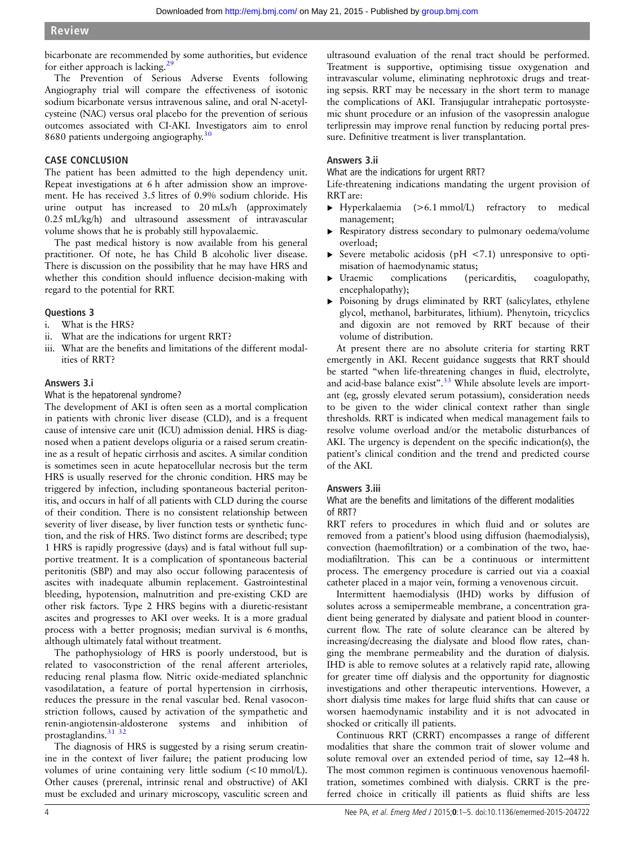bicarbonate are recommended by some authorities, but evidence for either approach is lacking.<sup>[29](#page-4-0)</sup>

The Prevention of Serious Adverse Events following Angiography trial will compare the effectiveness of isotonic sodium bicarbonate versus intravenous saline, and oral N-acetylcysteine (NAC) versus oral placebo for the prevention of serious outcomes associated with CI-AKI. Investigators aim to enrol 8680 patients undergoing angiography.<sup>[30](#page-4-0)</sup>

## CASE CONCLUSION

The patient has been admitted to the high dependency unit. Repeat investigations at 6 h after admission show an improvement. He has received 3.5 litres of 0.9% sodium chloride. His urine output has increased to 20 mLs/h (approximately 0.25 mL/kg/h) and ultrasound assessment of intravascular volume shows that he is probably still hypovalaemic.

The past medical history is now available from his general practitioner. Of note, he has Child B alcoholic liver disease. There is discussion on the possibility that he may have HRS and whether this condition should influence decision-making with regard to the potential for RRT.

## Questions 3

- i. What is the HRS?
- ii. What are the indications for urgent RRT?
- iii. What are the benefits and limitations of the different modalities of RRT?

## Answers 3.i

What is the hepatorenal syndrome?

The development of AKI is often seen as a mortal complication in patients with chronic liver disease (CLD), and is a frequent cause of intensive care unit (ICU) admission denial. HRS is diagnosed when a patient develops oliguria or a raised serum creatinine as a result of hepatic cirrhosis and ascites. A similar condition is sometimes seen in acute hepatocellular necrosis but the term HRS is usually reserved for the chronic condition. HRS may be triggered by infection, including spontaneous bacterial peritonitis, and occurs in half of all patients with CLD during the course of their condition. There is no consistent relationship between severity of liver disease, by liver function tests or synthetic function, and the risk of HRS. Two distinct forms are described; type 1 HRS is rapidly progressive (days) and is fatal without full supportive treatment. It is a complication of spontaneous bacterial peritonitis (SBP) and may also occur following paracentesis of ascites with inadequate albumin replacement. Gastrointestinal bleeding, hypotension, malnutrition and pre-existing CKD are other risk factors. Type 2 HRS begins with a diuretic-resistant ascites and progresses to AKI over weeks. It is a more gradual process with a better prognosis; median survival is 6 months, although ultimately fatal without treatment.

The pathophysiology of HRS is poorly understood, but is related to vasoconstriction of the renal afferent arterioles, reducing renal plasma flow. Nitric oxide-mediated splanchnic vasodilatation, a feature of portal hypertension in cirrhosis, reduces the pressure in the renal vascular bed. Renal vasoconstriction follows, caused by activation of the sympathetic and renin-angiotensin-aldosterone systems and inhibition of prostaglandins.<sup>31</sup> 32

The diagnosis of HRS is suggested by a rising serum creatinine in the context of liver failure; the patient producing low volumes of urine containing very little sodium (<10 mmol/L). Other causes (prerenal, intrinsic renal and obstructive) of AKI must be excluded and urinary microscopy, vasculitic screen and

ultrasound evaluation of the renal tract should be performed. Treatment is supportive, optimising tissue oxygenation and intravascular volume, eliminating nephrotoxic drugs and treating sepsis. RRT may be necessary in the short term to manage the complications of AKI. Transjugular intrahepatic portosystemic shunt procedure or an infusion of the vasopressin analogue terlipressin may improve renal function by reducing portal pressure. Definitive treatment is liver transplantation.

## Answers 3.ii

What are the indications for urgent RRT?

Life-threatening indications mandating the urgent provision of RRT are:

- ▸ Hyperkalaemia (>6.1 mmol/L) refractory to medical management;
- ▸ Respiratory distress secondary to pulmonary oedema/volume overload;
- ▸ Severe metabolic acidosis (pH <7.1) unresponsive to optimisation of haemodynamic status;
- ▸ Uraemic complications (pericarditis, coagulopathy, encephalopathy);
- ▸ Poisoning by drugs eliminated by RRT (salicylates, ethylene glycol, methanol, barbiturates, lithium). Phenytoin, tricyclics and digoxin are not removed by RRT because of their volume of distribution.

At present there are no absolute criteria for starting RRT emergently in AKI. Recent guidance suggests that RRT should be started "when life-threatening changes in fluid, electrolyte, and acid-base balance exist".<sup>[33](#page-4-0)</sup> While absolute levels are important (eg, grossly elevated serum potassium), consideration needs to be given to the wider clinical context rather than single thresholds. RRT is indicated when medical management fails to resolve volume overload and/or the metabolic disturbances of AKI. The urgency is dependent on the specific indication(s), the patient's clinical condition and the trend and predicted course of the AKI.

## Answers 3.iii

What are the benefits and limitations of the different modalities of RRT?

RRT refers to procedures in which fluid and or solutes are removed from a patient's blood using diffusion (haemodialysis), convection (haemofiltration) or a combination of the two, haemodiafiltration. This can be a continuous or intermittent process. The emergency procedure is carried out via a coaxial catheter placed in a major vein, forming a venovenous circuit.

Intermittent haemodialysis (IHD) works by diffusion of solutes across a semipermeable membrane, a concentration gradient being generated by dialysate and patient blood in countercurrent flow. The rate of solute clearance can be altered by increasing/decreasing the dialysate and blood flow rates, changing the membrane permeability and the duration of dialysis. IHD is able to remove solutes at a relatively rapid rate, allowing for greater time off dialysis and the opportunity for diagnostic investigations and other therapeutic interventions. However, a short dialysis time makes for large fluid shifts that can cause or worsen haemodynamic instability and it is not advocated in shocked or critically ill patients.

Continuous RRT (CRRT) encompasses a range of different modalities that share the common trait of slower volume and solute removal over an extended period of time, say 12–48 h. The most common regimen is continuous venovenous haemofiltration, sometimes combined with dialysis. CRRT is the preferred choice in critically ill patients as fluid shifts are less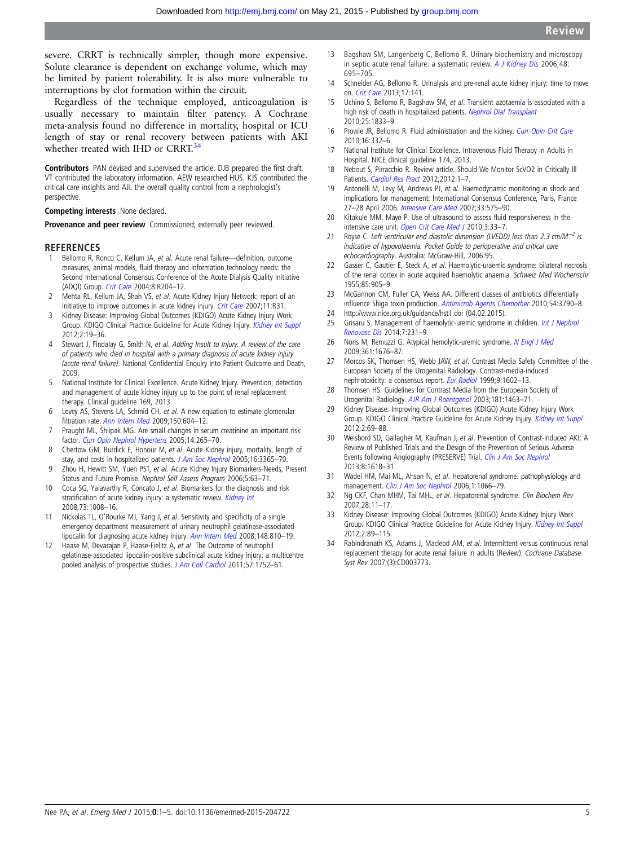<span id="page-4-0"></span>severe. CRRT is technically simpler, though more expensive. Solute clearance is dependent on exchange volume, which may be limited by patient tolerability. It is also more vulnerable to interruptions by clot formation within the circuit.

Regardless of the technique employed, anticoagulation is usually necessary to maintain filter patency. A Cochrane meta-analysis found no difference in mortality, hospital or ICU length of stay or renal recovery between patients with AKI whether treated with IHD or CRRT.<sup>34</sup>

Contributors PAN devised and supervised the article. DJB prepared the first draft. VT contributed the laboratory information. AEW researched HUS. KJS contributed the critical care insights and AJL the overall quality control from a nephrologist's perspective.

Competing interests None declared.

Provenance and peer review Commissioned; externally peer reviewed.

#### REFERENCES

- 1 Bellomo R, Ronco C, Kellum JA, et al. Acute renal failure—definition, outcome measures, animal models, fluid therapy and information technology needs: the Second International Consensus Conference of the Acute Dialysis Quality Initiative (ADQI) Group. [Crit Care](http://dx.doi.org/10.1186/cc2872) 2004;8:R204–12.
- 2 Mehta RL, Kellum JA, Shah VS, et al. Acute Kidney Injury Network: report of an initiative to improve outcomes in acute kidney injury. [Crit Care](http://dx.doi.org/10.1186/cc5713) 2007;11:R31.
- 3 Kidney Disease: Improving Global Outcomes (KDIGO) Acute Kidney Injury Work Group. KDIGO Clinical Practice Guideline for Acute Kidney Injury. [Kidney Int Suppl](http://dx.doi.org/10.1038/kisup.2011.32) 2012;2:19–36.
- 4 Stewart J, Findalay G, Smith N, et al. Adding Insult to Injury. A review of the care of patients who died in hospital with a primary diagnosis of acute kidney injury (acute renal failure). National Confidential Enquiry into Patient Outcome and Death, 2009.
- 5 National Institute for Clinical Excellence. Acute Kidney Injury. Prevention, detection and management of acute kidney injury up to the point of renal replacement therapy. Clinical guideline 169, 2013.
- 6 Levey AS, Stevens LA, Schmid CH, et al. A new equation to estimate glomerular filtration rate. [Ann Intern Med](http://dx.doi.org/10.7326/0003-4819-150-9-200905050-00006) 2009;150:604–12.
- 7 Praught ML, Shlipak MG. Are small changes in serum creatinine an important risk factor. [Curr Opin Nephrol Hypertens](http://dx.doi.org/10.1097/01.mnh.0000165894.90748.72) 2005;14:265–70.
- 8 Chertow GM, Burdick E, Honour M, et al. Acute Kidney injury, mortality, length of stay, and costs in hospitalized patients. [J Am Soc Nephrol](http://dx.doi.org/10.1681/ASN.2004090740) 2005;16:3365-70.
- 9 Zhou H, Hewitt SM, Yuen PST, et al. Acute Kidney Injury Biomarkers-Needs, Present Status and Future Promise. Nephrol Self Assess Program 2006;5:63–71.
- 10 Coca SG, Yalavarthy R, Concato J, et al. Biomarkers for the diagnosis and risk stratification of acute kidney injury: a systematic review. [Kidney Int](http://dx.doi.org/10.1038/sj.ki.5002729) 2008;73:1008–16.
- 11 Nickolas TL, O'Rourke MJ, Yang J, et al. Sensitivity and specificity of a single emergency department measurement of urinary neutrophil gelatinase-associated lipocalin for diagnosing acute kidney injury. [Ann Intern Med](http://dx.doi.org/10.7326/0003-4819-148-11-200806030-00003) 2008;148:810-19.
- 12 Haase M, Devarajan P, Haase-Fielitz A, et al. The Outcome of neutrophil gelatinase-associated lipocalin-positive subclinical acute kidney injury: a multicentre pooled analysis of prospective studies. [J Am Coll Cardiol](http://dx.doi.org/10.1016/j.jacc.2010.11.051) 2011;57:1752-61.
- 13 Bagshaw SM, Langenberg C, Bellomo R. Urinary biochemistry and microscopy in septic acute renal failure: a systematic review. [A J Kidney Dis](http://dx.doi.org/10.1053/j.ajkd.2006.07.017) 2006;48: 695–705.
- 14 Schneider AG, Bellomo R. Urinalysis and pre-renal acute kidney injury: time to move on. [Crit Care](http://dx.doi.org/10.1186/cc12676) 2013;17:141.
- 15 Uchino S, Bellomo R, Bagshaw SM, et al. Transient azotaemia is associated with a high risk of death in hospitalized patients. [Nephrol Dial Transplant](http://dx.doi.org/10.1093/ndt/gfp624) 2010;25:1833–9.
- 16 Prowle JR, Bellomo R. Fluid administration and the kidney. [Curr Opin Crit Care](http://dx.doi.org/10.1097/MCC.0b013e32833be90b) 2010;16:332–6.
- 17 National Institute for Clinical Excellence. Intravenous Fluid Therapy in Adults in Hospital. NICE clinical guideline 174, 2013.
- 18 Nebout S, Pirracchio R. Review article. Should We Monitor ScVO2 in Critically Ill Patients. [Cardiol Res Pract](http://dx.doi.org/10.1155/2012/370697) 2012;2012:1-7.
- 19 Antonelli M, Levy M, Andrews PJ, et al. Haemodynamic monitoring in shock and implications for management: International Consensus Conference, Paris, France 27–28 April 2006. [Intensive Care Med](http://dx.doi.org/10.1007/s00134-007-0531-4) 2007;33:575–90.
- 20 Kitakule MM, Mayo P. Use of ultrasound to assess fluid responsiveness in the intensive care unit. [Open Crit Care Med J](http://dx.doi.org/10.2174/1874828701003020033) 2010;3:33-7.
- 21 Royse C. Left ventricular end diastolic dimension (LVEDD) less than 2.3 cm/M<sup>-2</sup> is indicative of hypovolaemia. Pocket Guide to perioperative and critical care echocardiography. Australia: McGraw-Hill, 2006:95.
- 22 Gasser C, Gautier E, Steck A, et al. Haemolytic-uraemic syndrome: bilateral necrosis of the renal cortex in acute acquired haemolytic anaemia. Schweiz Med Wochenschr 1955;85:905–9.
- 23 McGannon CM, Fuller CA, Weiss AA. Different classes of antibiotics differentially influence Shiga toxin production. [Antimicrob Agents Chemother](http://dx.doi.org/10.1128/AAC.01783-09) 2010;54:3790–8.
- 24<http://www.nice.org.uk/guidance/hst1.doi> (04.02.2015). 25 Grisaru S. Management of haemolytic-uremic syndrome in children. [Int J Nephrol](http://dx.doi.org/10.2147/IJNRD.S41837)
- [Renovasc Dis](http://dx.doi.org/10.2147/IJNRD.S41837) 2014;7:231–9. 26 Noris M, Remuzzi G. Atypical hemolytic-uremic syndrome. [N Engl J Med](http://dx.doi.org/10.1056/NEJMra0902814)
- 2009;361:1676–87. 27 Morcos SK, Thomsen HS, Webb JAW, et al. Contrast Media Safety Committee of the
- European Society of the Urogenital Radiology. Contrast-media-induced nephrotoxicity: a consensus report. [Eur Radiol](http://dx.doi.org/10.1007/s003300050894) 1999;9:1602–13.
- 28 Thomsen HS. Guidelines for Contrast Media from the European Society of Urogenital Radiology. [AJR Am J Roentgenol](http://dx.doi.org/10.2214/ajr.181.6.1811463) 2003;181:1463–71.
- 29 Kidney Disease: Improving Global Outcomes (KDIGO) Acute Kidney Injury Work Group. KDIGO Clinical Practice Guideline for Acute Kidney Injury. [Kidney Int Suppl](http://dx.doi.org/10.1038/kisup.2011.34) 2012;2:69–88.
- 30 Weisbord SD, Gallagher M, Kaufman J, et al. Prevention of Contrast-Induced AKI: A Review of Published Trials and the Design of the Prevention of Serious Adverse Events following Angiography (PRESERVE) Trial. [Clin J Am Soc Nephrol](http://dx.doi.org/10.2215/CJN.11161012) 2013;8:1618–31.
- 31 Wadei HM, Mai ML, Ahsan N, et al. Hepatorenal syndrome: pathophysiology and management. [Clin J Am Soc Nephrol](http://dx.doi.org/10.2215/CJN.01340406) 2006;1:1066-79.
- 32 Ng CKF, Chan MHM, Tai MHL, et al. Hepatorenal syndrome. Clin Biochem Rev 2007;28:11–17.
- 33 Kidney Disease: Improving Global Outcomes (KDIGO) Acute Kidney Injury Work Group. KDIGO Clinical Practice Guideline for Acute Kidney Injury. [Kidney Int Suppl](http://dx.doi.org/10.1038/kisup.2011.35) 2012;2:89–115.
- 34 Rabindranath KS, Adams J, Macleod AM, et al. Intermittent versus continuous renal replacement therapy for acute renal failure in adults (Review). Cochrane Database Syst Rev 2007;(3):CD003773.